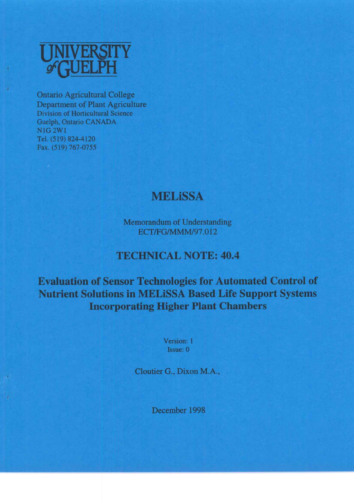

**Ontario Agricultural College Department of Plant Agriculture** Division of Horticultural Science Guelph, Ontario CANADA N1G 2W1 Tel. (519) 824-4120 Fax. (519) 767-0755

## **MELISSA**

**Memorandum of Understanding** ECT/FG/MMM/97.012

## **TECHNICAL NOTE: 40.4**

**Evaluation of Sensor Technologies for Automated Control of Nutrient Solutions in MELISSA Based Life Support Systems Incorporating Higher Plant Chambers** 

> Version: 1 Issue: 0

Cloutier G., Dixon M.A.,

December 1998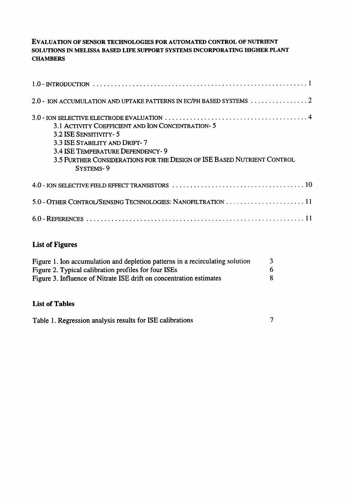## **EVALUATION OF SENSOR TECHNOLOGIES FOR AUTOMATED CONTROL OF NUTRIENT based life support systems incorporating higher plant chambers**

| 2.0 - ION ACCUMULATION AND UPTAKE PATTERNS IN EC/PH BASED SYSTEMS $\ldots \ldots \ldots \ldots \ldots$                                                                                                                                 |
|----------------------------------------------------------------------------------------------------------------------------------------------------------------------------------------------------------------------------------------|
| 3.1 ACTIVITY COEFFICIENT AND ION CONCENTRATION-5<br>3.2 ISE SENSITIVITY-5<br>3.3 ISE STABILITY AND DRIFT-7<br>3.4 ISE TEMPERATURE DEPENDENCY-9<br>3.5 FURTHER CONSIDERATIONS FOR THE DESIGN OF ISE BASED NUTRIENT CONTROL<br>SYSTEMS-9 |
|                                                                                                                                                                                                                                        |
|                                                                                                                                                                                                                                        |
|                                                                                                                                                                                                                                        |

## List of Figures

| Figure 1. Ion accumulation and depletion patterns in a recirculating solution | 3 |
|-------------------------------------------------------------------------------|---|
| Figure 2. Typical calibration profiles for four ISEs                          | h |
| Figure 3. Influence of Nitrate ISE drift on concentration estimates           | R |
|                                                                               |   |

#### **List of Tables**

 $\frac{1}{2}$  is common approximations the most common approximation  $\frac{1}{2}$ sensors to the in-line management of closed nutrient delivery systems. Control of nutrient I able 1. Regression analysis results for LSE call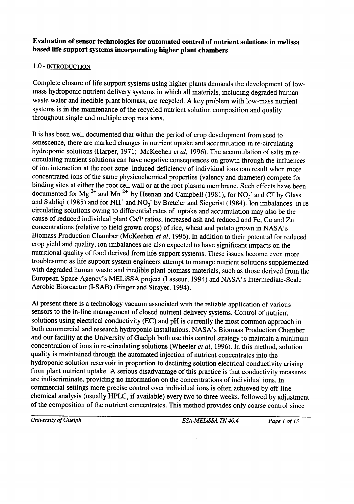# e*valuation of sensor technologies for automated control of nutrient solutions in melissa*<br>In the state of the stage of crops with the stage of control of the solutions in melissa

## <u>IN ADVANCED SUPPORT SYSTEMS THERE IS Also a develop there is also a develop techniques which will enable which will enable the system of the system of the system of the system of the system of the system of the system of </u>

 $s_{\text{sample}}$  thrown  $\epsilon_{\text{max}}$  and will provide information to remote (earth based) support teams teams teams teams teams teams teams teams teams teams teams teams teams teams teams teams teams teams teams teams teams teams Complete crosare of the support systems using inglier plants demands the development of low mass hydroponic nutrient delivery systems in which all materials, including degraded human waste water and inedible plant biomass, are recycled. A key problem with low-mass nutrient systems is in the maintenance of the recycled nutrient solution composition and quality throughout single and multiple crop rotations.

 $\mu$ uropean space Agency s MELRSSA project (Lasseur, 1994) and NASA's intermediate-Aerobic Bioreactor (I-SAB) (Finger and Strayer, 1994). with degraded numan waste and inequole plant biomass materials, such as those derived from Fouvies once as the support system engineers attempt to manage nutrient solutions supplement Evep you and quality, for imparances are also expected to have significant  $\alpha$  are cannot a solutions owing to differential rates of uptake and accumulation may also b cause of reduced individual plant Ca/P ratios, increased ash and reduced and Fe, Cu and Zn concentrations (relative to field grown crops) of rice, wheat and potato grown in NASA's<br>Biomass Production Chamber (McKeehen et al, 1996). In addition to their potential for reduced Focurrented for Mg and Mn by Heenan and Campbell (1981), for  $NO_3$  and Cl by Glass and Siddiqi (1985) and for NH<sup>+</sup> and NO<sub>3</sub> by Breteler and Siegerist (1984). Ion imbalances in rebiliding sites at either the root cell wall or at the root plasma membrane. Such effects have b concentrated fons of the same physicochemical properties (valency and diameter) compete for anthesis, significant increases in background micro-organism populations or used to control the control theoretical the control theoretical theoretical theoretical theoretical theoretical theoretical theoretical theoretic real is has been well document hydroponic solutions (Harper, 1971; McKeehen et al, 1996). The accumulation of salts in recirculating nutrient solutions can have negative consequences on growth through the influences of ion interaction at the root zone. Induced deficiency of individual ions can result when more

Hoaglands solution using glass beads as a rooting media. The composition of the Hoaglands st present there is a technology gy vacuum associated with the reliable application of various ensors to the m-me management of closed nutrient derivery systems. Control of nutrient  $\frac{1}{2}$  point of the contract conductivity (EC) and pri is currently the most common approach  $H_{\text{A}}$  or foothing and research hydropolic instantations. TVASA S DIOIRASS PRODUCTION CHAMBER at  $\frac{1}{2}$ concentration of ions in recognishing colutions (Wheeler at 11006). In this work of solution quality is maintained through the automated injection of nutrient concentrates into the party to manufacture an eager are accomated injection of numeric concentrates into the<br>Weronomic solution reservoir in proportion to declining solution electrical conductivity erising iyaropolic solution reservoir in proportion to declining solution electrical conductivity arising<br>from plant nutrient uptake. A serious disadvantage of this practice is that conductivity measures are indiscriminate, providing no information on the concentrations of individual ions. In ommercial settings more chemical analysis (usually HPLC, if available) every two to three weeks, followed by adjustment of the composition of the nutrient concentrates. This method provides only coarse control since

*University of Guelph*

*ESA-MELiSSA TN 40.4 Page 2 of 13*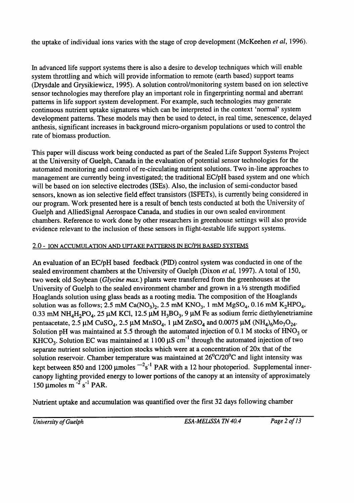the uptake of individual ions varies with the stage of crop development (McKeehen et al, 1996).

In advanced life support systems there is also a desire to develop techniques which will enable system throttling and which will provide information to remote (earth based) support teams (Drysdale and Grysikiewicz, 1995). A solution control/monitoring system based on ion selective sensor technologies may therefore play an important role in fingerprinting normal and aberrant patterns in life support system development. For example, such technologies may generate continuous nutrient uptake signatures which can be interpreted in the context 'normal' system development patterns. These models may then be used to detect, in real time, senescence, delayed anthesis, significant increases in background micro-organism populations or used to control the rate of biomass production.

This paper will discuss work being conducted as part of the Sealed Life Support Systems Project at the University of Guelph, Canada in the evaluation of potential sensor technologies for the automated monitoring and control of re-circulating nutrient solutions. Two in-line approaches to management are currently being investigated; the traditional EC/pH based system and one which will be based on ion selective electrodes (ISEs). Also, the inclusion of semi-conductor based sensors, known as ion selective field effect transistors (ISFETs), is currently being considered in our program. Work presented here is a result of bench tests conducted at both the University of Guelph and AlliedSignal Aerospace Canada, and studies in our own sealed environment e inclusion of these sensors in flight-testable life su<br>ION AND UPTAKE PATTERNS IN EC/PH BASED SYSTEM

An evaluation of an EC/pH based feedback (PID) control system was conducted in one of the sealed environment chambers at the University of Guelph (Dixon *et al*, 1997). A total of 150, two week old Soybean (*Glycine max*.) plants were transferred from the greenhouses at the University of Guelph to the sealed environment chamber and grown in a  $\frac{1}{2}$  strength modified University of Ouerprice the source environment enameer and grown in a 72 exemple measure  $K_{\text{NLO}}$  = 1100 stock in the stock in the continuous continuous solution was as follows:  $2.5 \text{ mM } K_{\text{O}}$  =  $2.5 \text{ mM } K_{\text{NLO}}$  = 1 mM  $M_{\text{O}}$ SO = 0.16 mM K.H. 0.33 mM  $NH_4H_2PO_4$ , 25 µM KCI, 12.5 µM  $H_3BO_3$ , 9 µM Fe as sodium ferric diethylenetriamii pentaacetate,  $2.5 \mu M$  CuSO<sub>4</sub>,  $2.5 \mu M$  MnSO<sub>4</sub>, 1  $\mu$ M ZnSO<sub>4</sub> and 0.0075  $\mu$ M (NH<sub>4</sub>)<sub>6</sub>Mo<sub>7</sub>O<sub>24</sub>. Solution pH was maintained at 5.5 through the automated injection of 0.1 M stocks of  $HNO<sub>3</sub>$  or KHCO<sub>3</sub>. Solution EC was maintained at 1100  $\mu$ S cm<sup>-1</sup> through the automated injection of two separate nutrient solution injection stocks which were at a concentration of 20x that of the solution reservoir. Chamber temperature was maintained at  $26^{\circ}C/20^{\circ}C$  and light intensity was kept between 850 and 1200 µmoles  $^{-2}s^{-1}$  PAR with a 12 hour photoperiod. Supplemental innercanopy lighting provided energy to lower portions of the canopy at an intensity of approximately 150 µmoles m<sup> $-2$ </sup> s<sup> $-1$ </sup> PAR.

Nutrient uptake and accumulation was quantified over the first 32 days following chamber

*University of Guelph*

*ESA-MELiSSA TN 40.4 Page 3 of* **13**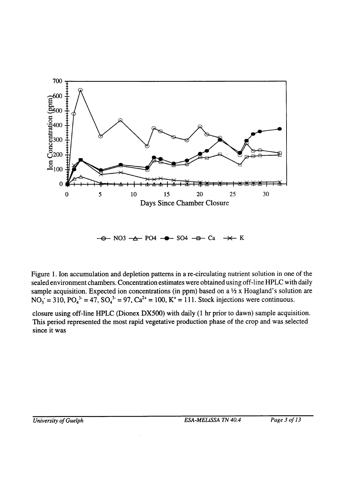

 $\rightarrow$  NO3  $\rightarrow$  PO4  $\rightarrow$  SO4  $\rightarrow$  Ca $\rightarrow$  K

 $NO = 310$  PO  $3 - 47$  SO  $3 = 97$  C  $a^{2+} =$ sealed environment chambers. Concentration estimates were obtained using off-line HPLC with daily Figure 1. Ion accumulation and depletion patterns in a re-circulating nutrient solution in one of the

closure using off-line  $HPLC$  (Dionex DX500) with daily (1 hr prior to dawn) sample acc This period represented the most rapid vegetative production phase of the crop and was selected since it was  $since it was$ 

*University of Guelph*

*ESA-MELISSA TN 40.4 Page 3 of 13*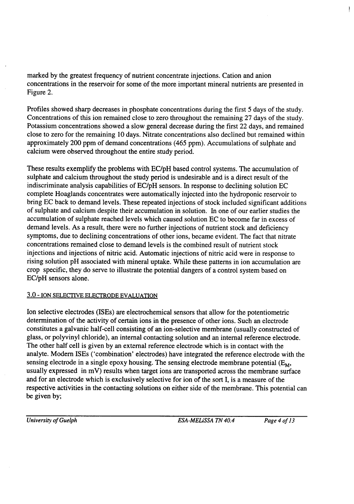*(2)* **<sup>1</sup> 'i** and  $\alpha$  is the gas constant, T is the absolute temperature (value of  $\alpha$ ) is for slope in Eqn (2) is for slope in Eqn (2) is for slope in Eqn (2) is for slope in Eqn (2) is for slope in Eqn (2) is for slope in Eqn (2) i marked by the greatest frequency of nutrient concentrate injections. Cation and anion

proximately 200 ppm of demand concentrations (405 ppm). Accumulations of surphate and calcium were observed throughout the entire study period. ose to zero for the remaining to days. Nurale concentrations also declined our remained with  $\alpha$  assiunt concentrations showed a slow general decrease during the first  $22$  days, and remained ISES for the concentrations of this ion remained close to zero infoughout the remaining  $27$  days of the study. Zi is the charge of the ion. 298 K), F is the Faraday equivalent and

These results exemplify the problems with EC/pH based control systems. The accumulation of *Coeffrance* and calcium infoughout the study periodic complete Hoaglands concentrates were automatically injected into the hydroponic reservoir to bring EC back to demand levels. These repeated injections of stock included significant additions of sulphate and calcium despite their accumulation in solution. In one of our earlier studies the accumulation of sulphate reached levels which caused solution EC to become far in excess of demand levels. As a result, there were no further injections of nutrient stock and deficiency symptoms, due to declining concentrations of other ions, became evident. The fact that nitrate Internations remained crose to demand levels is the compiled result of  $T$  and activity control in the solution of the total in the total in the solution of the solution. In distribution  $T$ , they do serve to mustrate the potential dangers or a control system based on EC/pH sensors alone.  $s$  does the difference between individual individual individual individual ion activity and concentration. In practice a higher section and concentration. In practice a higher section,  $s = 1$ 

#### $\overline{\text{O}}$  fon state investigation is valued from which direct concentration estimates can be determined from  $\overline{\text{O}}$  $\alpha$  concert exposure of extraordination  $\alpha$

Ion selective electrodes (ISEs) are electrochemical sensors that allow for the potentiometric  $\mu$  is underly chemology (i.e. i.e.  $\mu$  is the hydroponic solution of salts in our solution may ensue. In our studies in  $\mu$ of ISE performance and in those reported by Bailey *et*   $\frac{1}{2}$  other fons. Such an electrode constitutes a galvanic half-cell consisting of an ion-selective membrane (usually constructed of calibration solutions spanning the range of the range of the expected internol and position constructed of  $\omega$ ss, or poryvinyi emonde), an international concernig solution and an internal reference electrode. could han con is given by an external reference electrone within is in coinact with the range in the calibration solution solutions. mogradu die ferefere efectione with the sensing electrode in a single epoxy housing. The sensing electrode membrane potential  $(E_M, E_M)$ usually expressed in mV) results when target ions are transported across the membrane surface and for an electrode which is exclusively selective for ion of the sort I, is a measure of the respective activities in the contacting solutions on either side of the membrane. This potential can<br>be given by;

*University of Guelph*

*ESA-MELISSA TN 40.4 Page 4 of 13*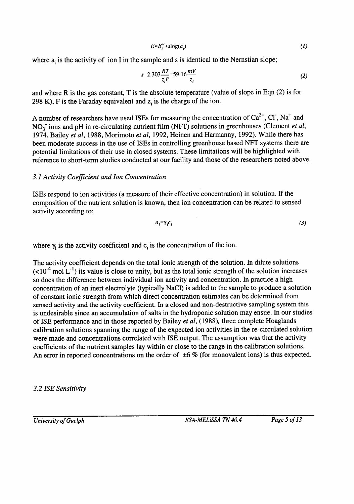$$
E = E_i^o + s \log(a_i) \tag{1}
$$

where  $a_i$  is the activity of ion I in the sample and s is identical to the Nernstian slope;

$$
s=2.303\frac{RT}{z_iF}=59.16\frac{mV}{z_i}
$$
 (2)

and where  $R$  is the gas constant,  $T$  is the absolute temperature (value of slope in Eqn  $(2)$  is for 298 K), F is the Faraday equivalent and  $z_i$  is the charge of the ion.

A number of researchers have used ISEs for measuring the concentration of  $Ca^{2+}$ , Cl, Na<sup>+</sup> and  $NO<sub>3</sub>$  ions and pH in re-circulating nutrient film (NFT) solutions in greenhouses (Clement et al, 1974, Bailey et al, 1988, Morimoto et al, 1992, Heinen and Harmanny, 1992). While there has been moderate success in the use of ISEs in controlling greenhouse based NFT systems there are potential limitations of their use in closed systems. These limitations will be highlighted with reference to short-term studies conducted at our facility and those of the researchers noted above.

#### 3.1 Activity Coefficient and Ion Concentration

ISEs respond to ion activities (a measure of their effective concentration) in solution. If the composition of the nutrient solution is known, then ion concentration can be related to sensed activity according to;

$$
a_i = \gamma_i c_i
$$
 (3)  
the concentration of the ion.

 $a_i = \gamma_i c_i$ <br>where  $\gamma_i$  is the activity coefficient and  $c_i$  is the concentration of the ion.

The activity coefficient depends on the total ionic strength of the solution. In dilute solutio  $\left($  <10<sup>-4</sup> mol L<sup>-1</sup>) its value is close to unity, but as the total ionic strength of the solution increases so does the difference between individual ion activity and concentration. In practice a high<br>concentration of an inert electrolyte (typically NaCl) is added to the sample to produce a solution of constant ionic strength from which direct concentration estimates can be determined from sensed activity and the activity coefficient. In a closed and non-destructive sampling system this is undesirable since an accumulation of salts in the hydroponic solution may ensue. In our studies of ISE performance and in those reported by Bailey et al, (1988), three complete Hoaglands calibration solutions spanning the range of the expected ion activities in the re-circulated solution were made and concentrations correlated with ISE output. The assumption was that the activity coefficients of the nutrient samples lay within or close to the range in the calibration solutions. An error in reported concentrations on the order of  $\pm 6$  % (for monovalent ions) is thus expected.

#### 3.2 ISE Sensitivity

*University of Guelph*

*ESA-MELiSSA TN 40.4 Page 6 of 13*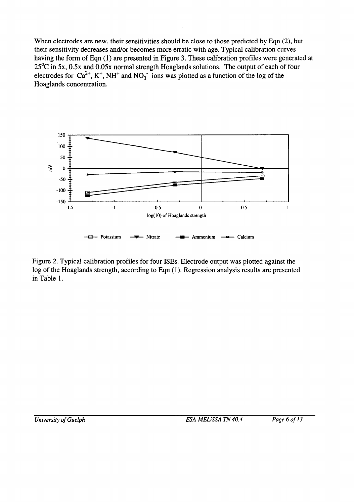$25^{\circ}$ C in 5x, 0.5x and 0.05x normal strength Hoaglands solutions. The output of each of four electrodes for  $Ca^{2+}$ , K<sup>+</sup>, NH<sup>+</sup> and NO<sub>3</sub> ions was plotted as a function of the log of the Hoaglands concentration. having the form of Eqn (1) are presented in Figure 3. These calibration profiles were generated at  $\frac{1}{2}$  electrones and or becomes more erranc while age. Typical canonation curves when electrodes are new, their sensitivities should be close to those predicted by Eqn  $(z)$ , but



oure  $2$  Typical calibration profiles for four ISEs. Electrode output was plotted against the log of the Hoaglands strength, according to Eqn (1). Regression analysis results are presented in Table 1.

*ESA-MELiSSA TN 40.4 Page 6 of 13*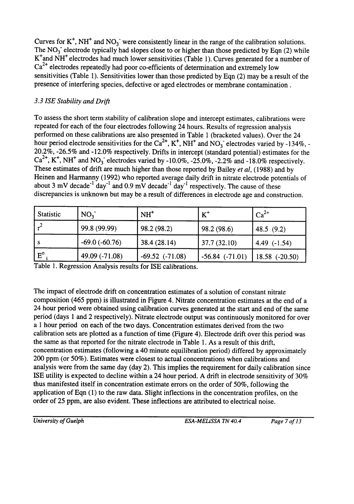Curves for  $K^+$ , NH<sup>+</sup> and NO<sub>3</sub><sup>-</sup> were consistently linear in the range of the calibration solutions. The NO<sub>3</sub> electrode typically had slopes close to or higher than those predicted by Eqn (2) while K<sup>+</sup>and NH<sup>+</sup> electrodes had much lower sensitivities (Table 1). Curves generated for a number of  $Ca<sup>2+</sup>$  electrodes repeatedly had poor co-efficients of determination and extremely low sensitivities (Table 1). Sensitivities lower than those predicted by Eqn (2) may be a result of the presence of interfering species, defective or aged electrodes or membrane contamination.

### 3.3 ISE Stability and Drift

To assess the short term stability of calibration slope and intercept estimates, calibrations were repeated for each of the four electrodes following 24 hours. Results of regression analysis performed on these calibrations are also presented in Table 1 (bracketed values). Over the 24 hour period electrode sensitivities for the  $Ca^{2+}$ , K<sup>+</sup>, NH<sup>+</sup> and NO<sub>3</sub><sup>-</sup> electrodes varied by -134%, -20.2%, -26.5% and -12.0% respectively. Drifts in intercept (standard potential) estimates for the  $Ca^{2+}$ , K<sup>+</sup>, NH<sup>+</sup> and NO<sub>3</sub><sup>-</sup> electrodes varied by -10.0%, -25.0%, -2.2% and -18.0% respectively. These estimates of drift are much higher than those reported by Bailey et al, (1988) and by Heinen and Harmanny (1992) who reported average daily drift in nitrate electrode potentials of about 3 mV decade<sup>-1</sup> day<sup>-1</sup> and 0.9 mV decade<sup>-1</sup> day<sup>-1</sup> respectively. The cause of these discrepancies is unknown but may be a result of differences in electrode age and construction.

| <b>Statistic</b> | NO <sub>3</sub> | $NH+$               | $K^+$               | $Ca^{2+}$        |
|------------------|-----------------|---------------------|---------------------|------------------|
|                  | 99.8 (99.99)    | 98.2 (98.2)         | 98.2(98.6)          | 48.5 $(9.2)$     |
|                  | $-69.0(-60.76)$ | 38.4 (28.14)        | 37.7(32.10)         | 4.49 $(-1.54)$   |
| $E^{\circ}$      | 49.09 (-71.08)  | $-69.52$ $(-71.08)$ | $-56.84$ $(-71.01)$ | $18.58$ (-20.50) |

Table 1. Regression Analysis results for ISE calibrations.

The impact of electrode drift on concentration estimates of a solution of constant nitrate composition (465 ppm) is illustrated in Figure 4. Nitrate concentration estimates at the end of a 24 hour period were obtained using calibration curves generated at the start and end of the same period (days 1 and 2 respectively). Nitrate electrode output was continuously monitored for over a 1 hour period on each of the two days. Concentration estimates derived from the two calibration sets are plotted as a function of time (Figure 4). Electrode drift over this period was the same as that reported for the nitrate electrode in Table 1. As a result of this drift, concentration estimates (following a 40 minute equilibration period) differed by approximately 200 ppm (or 50%). Estimates were closest to actual concentrations when calibrations and analysis were from the same day (day 2). This implies the requirement for daily calibration since ISE utility is expected to decline within a 24 hour period. A drift in electrode sensitivity of 30% thus manifested itself in concentration estimate errors on the order of 50%, following the application of Eqn (1) to the raw data. Slight inflections in the concentration profiles, on the order of 25 ppm, are also evident. These inflections are attributed to electrical noise.

ESA-MELISSA TN 40.4

Page 7 of 13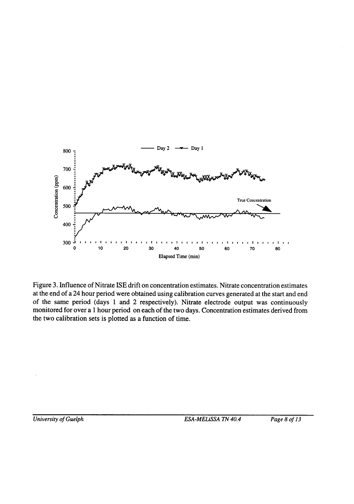

ISTER WILL BE REFLECTED CONCENTRATION CSUMMANS. IN THE AU CONCENTRATE at the end of a 24 hour period were obtained using calibration curves generated at the start and end<br>of the same period (days 1 and 2 respectively). Nitrate electrode output was continuously monitored for over a 1 hour period on each of the two days. Concentration estimates derived from the two calibration sets is plotted as a function of time. to be overcome in the design of automated solution control systems. Frequent, perhaps even systems, perhaps ev  $\alpha$  igure *d*. minuctive of

standard indirect analysis procedures incorporating both analysis and calibration in tandem are

*University of Guelph*

*ESA-MELiSSA TN 40.4 Page 9 of 13*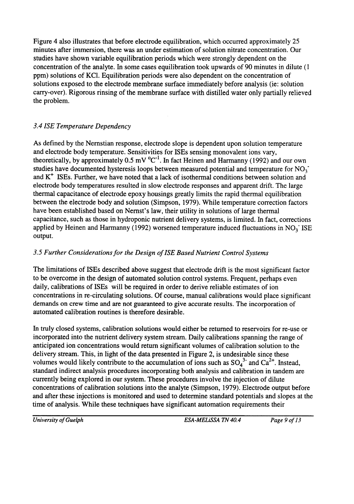studies have shown variable equilibration periods which were strongly dependent on concentration of the analyte. In some cases equilibration took upwards of 90 minutes in dilute (1) ppm) solutions of KCl. Equilibration periods were also dependent on the concentration of solutions exposed to the electrode membrane surface immediately before analysis (ie: solution carry-over). Rigorous rinsing of the membrane surface with distilled water only partially relieved the problem. Figure 4 also illustrates that before electrode equilibration, which occurred approximately 25 minutes after immersion, there was an under estimation of solution nitrate concentration. Our

#### In light of the potential limitations of ISE technology in individual ion based control systems, 3.4 ISE Temperature Dependency

As defined by the Nernstian response, electrode slope is dependent upon solution temperature and electrode body temperature. Sensitivities for ISEs sensing monovalent ions vary, theoretically, by approximately 0.5 mV  $^{\circ}C^{-1}$ . In fact Heinen and Harmanny (1992) and our own studies have documented hysteresis loops bety electrode body temperatures resulted in slow electrode responses and apparent drift. Th thermal capacitance of electrode epoxy housings greatly limits the rapid thermal equilibration between the electrode body and solution (Simpson, 1979). While temperature correction factors have been established based on Nernst's law, their utility in solutions of large thermal capacitance, such as those in hydroponic nutrient delivery systems, is limited. In fact, corrections applied by Heinen and Harmanny (1992) worsened temperature induced fluctuations in  $NO<sub>3</sub><sup>-</sup>ISE$  output. current instead of potential (van den Vlekkert, 1992). These sensors are typically extremely small extremely small

#### and thereby require very low solution volumes. While ISFETs have been used for nearly 2012. While ISFETs have been used for nearly 2012. While ISFETs have been used for nearly 2013. While ISFETs have been used for nearly y.) Furiner Considerations for the Design of ISE Based Nutrient Control Systems

automated calibration routines is therefore desirable. to be overcome in the design of automated solution control systems. Frequent, perhaps even daily, calibrations of ISEs will be required in order to derive reliable estimates of ion concentrations in re-circulating solutions. Of course, manual calibrations would place significant<br>demands on crew time and are not guaranteed to give accurate results. The incorporation of I' ne ilmitations of ISES described above suggest that electrode drift is the most significant fa

currently being explored in our system. These procedures involve the injection of dilute concentrations of calibration solutions into the analyte (Simpson, 1979). Electrode output before and after these injections is monitored and used to determine standard potentials and slopes at the time of analysis. While these techniques have significant automation requirements their volumes would likely contribute to the accumulation of lons such as  $SO_4^+$  and  $Ca^-$ . Instead, standard indirect analysis procedures incorporating both analysis and calibration in tandem are incorporated into the nutrient delivery system stream. Daily calibrations spanning the range of anticipated ion concentrations would return significant volumes of calibration solution to the delivery stream. This, in light of the data presented in Figure 2, is undesirable since these plasticizer and ionophore from the ion-selective membrane. Modifications to the bonding th truly closed systems, calibration solutions would either be returned to reservoirs for re-use

*University of Guelph*

*ESA-MELISSA TN 40.4 Page 9 of 13*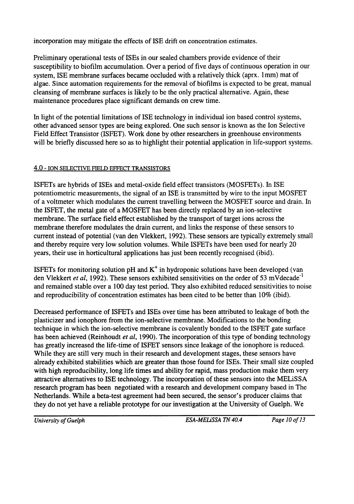incorporation may mitigate the effects of ISE drift on concentration estimates.

and advances as well as those other technologies which may have application to the application to the application to the second MELiSSA program. system. ISE membrane surfaces became occluded with a relatively thick (aprx. 1mm) mat of algae. Since automation requirements for the removal of biolitims maintenance procedures place significant demands on crew time.

aliceu sensor types are being explored. One such sensor is known as the formated the continuum separation (region), while the microcal components in greenhouse chemical components in the membership of chemical components are such as  $\frac{1}{2}$ will be briefly discussed here so as to highlight their potential application in life-support systems. In light of the potential limitations of ISE technology in individual ion based control systems,  $\frac{0.001 \text{ AU}}{0.01 \text{ Hz}}$ 

#### composed of only potassium nitrate and ammonium di-hydrogen phosphate, observed rejection **4.0 - ION SELECTIVE FIELD EFFECT TRANSISTORS**

Internorant. The surface field effect established by the transport of target ions across the membrane therefore modulates the drain current, and links the response of these sensors to current instead of potential (van den Vlekkert, 1992). These sensors are typically extremely small and thereby require very low solution volumes. While ISFETs have been used for nearly 20 years, their use in horticultural applications has just been recently recognised (ibid). the ISFET, the metal gate of a MOSFET has been directly replaced by an ion-selective am. m potentiometric measurements, the signal of an ISE is transmitted by wire to the input MOSFET potentionie enter dependent of salt concentration. Regenerate were reported to be between  $\frac{1}{2}$ the photographs is photography in the nitrate intervention. For the nitrate in the nitrate in the nitrate in the nitrate in the nitrate in the nitrate in the nitrate in the nitrate in the nitrate in the nitrate in the nitr  $\frac{1}{2}$  of 15Es and  $\frac{1}{2}$ 1000 ppm phosphate and 190 to 500 ppm nitrate (within the range of expected solution ist concentrations are involved

ISFETs for monitoring solution pH and  $K^+$  in hydroponic solutions have been developed (van den Vlekkert *et al.* 1992). These sensors exhibited sensitivities on the order of 53 mV decade<sup>-1</sup> and remained stable over a 100 day test period. They also exhibited reduced sensitivities to noise and reproducibility of concentration estimates has been cited to be better than 10% (ibid).

 $\mathcal{L}$  Schlager (1996). Little information could be obtained at the submission of the submission of the submission of this think of the submission of the submission of the submission of the submission of the submission the results of the results of the results of the results of the results of the results of the results of the results of the results of the results of the results of the results of the results of the results of the results plasticizer and ionophore from the ion-selective membrane. Modifications to the bonding<br>technique in which the ion-selective membrane is covalently bonded to the ISFET gate surface  $R_{\rm B}$  decided actricy While they are still very much in their research and development stages, these sensors have already exhibited stabilities which are greater than those found for ISEs. Their small size coupled with high reproducibility, long life times and ability for rapid, mass production make them very auractive alternatives to lot technology. The incorporation of these sensors into the MELISSA *Physical Physical 1148* been *negotia* they do not yet have a reliable prototype for our investigation at the University of Guelph. We

*University of Guelph*

*ESA-MELiSSA TN 40.4 Page II of 13*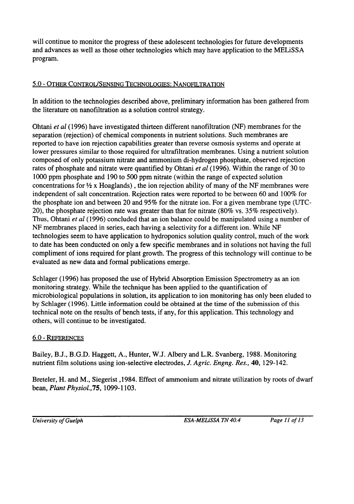and advances as well as those other technologies which may have application to the MELISSA program. will continue to monitor the progress of these adolescent technologies for future developments

#### Canaway and L.H.P. Jones, 1974. A system for measuring the <u>UPTAGE OF INCLESSING SOLUTIONS FROM FLOWING SOLUTION,  $J. U - U$  in Exp. Bot.,  $J. U - U$  in Exp. Bot.,  $J. U - U$  in Exp. Bot.,  $J. U - U$  in Exp. Bot.,  $J. U - U$  in Exp. Bot.,  $J. U - U$  is a set of  $J. U - U$  in Exp. Bot.,  $J. U - U$  is a se</u> Clement, C.R., M.J. Hopper, R.J.

In addition to the technologies described above, preliminary information has been gathered from the literature on nanofiltration as a solution control strategy.

*36,566,566. In a proposed challed that an ion balance could*  $\frac{1}{2}$ technologies seem to have application to hydroponics solution quality control, much of the work to date has been conducted on only a few specific membranes and in solutions not having the full compliment of ions required for plant growth. The progress of this technology will continue to be evaluated as new data and formal publications emerge. maependent of sait concentration. Rejection rates were reported to be between ou and 20), the phosphate rejection rate was greater than that for nitrate (80% vs.  $35\%$  respectively). separation (rejection) of chemical components in nutrient solutions. Such membranes are reported to have ion rejection capabilities greater than reverse osmosis systems and operate at lower pressures similar to those required for ultrafiltration membranes. Using a nutrient solution composed of only potassium nitrate and ammonium di-hydrogen phosphate, observed rejection rates of phosphate and nitrate were quantified by Ohtani *et al* (1996). Within the range of 30 to 1000 ppm phosphate and 190 to 500 ppm nitrate (within the range of expected solution concentrations for  $\frac{1}{2}x$ . Hoaglands), the ion rejection ability of many of the NF membranes were Ohtani et al (1996) have investigated thirteen different nanofiltration (NF) membranes for the

 $\epsilon$  economical note on the results of bench tests, if any, for this application. This technology and  $304.2826$ ,  $\frac{1}{2}$   $\frac{1}{2}$   $\frac{1}{2}$   $\frac{1}{2}$   $\frac{1}{2}$   $\frac{1}{2}$   $\frac{1}{2}$   $\frac{1}{2}$   $\frac{1}{2}$   $\frac{1}{2}$   $\frac{1}{2}$   $\frac{1}{2}$   $\frac{1}{2}$   $\frac{1}{2}$   $\frac{1}{2}$   $\frac{1}{2}$   $\frac{1}{2}$   $\frac{1}{2}$   $\frac{1}{2}$   $\frac{1}{2}$   $\frac{1}{2}$  *61,447-456.* uptake of magnesium by Soybeans, *Plant and Soil,*  monitoring strategy. While the technique has been applied to the quantification of

#### nutrients in hydroponic solutions alter nutrient content of rice, when and potato, when potato, and potato, *Advances* in the potato, *Advances* in the potato, *Advances in* the potato, *Advances in* the potato, *Advances* McKeehen, J.D., C.A. Mitchell, R.M. Wheeler, B.

 $\frac{1}{2}$  and  $\frac{1}{2}$  and  $\frac{1}{2}$  and  $\frac{1}{2}$  is the selective electrodes, *J. Agric. Engng. Kes.*, 40, 129-142. *l&73-83. Space Research,* 

*304,301-308. Actu Horticulturae,* approach to control of nutrient solution in hydroponics, bean, Plant Physiol., 75, 1099-1103.

*University of Guelph*

*ESA-MELiSSA TN 40.4 Page 12 of 13*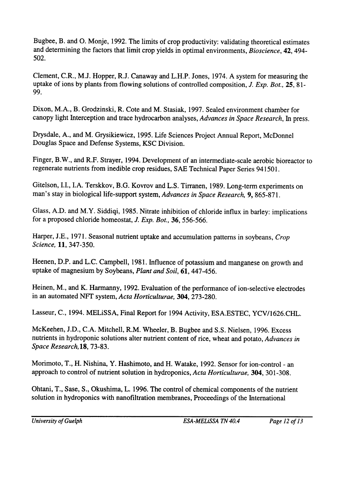*Actuality: Validating in Closec, 4992.* The firms of crop productivity: validating in  $\frac{1}{2}$  $R<sub>1</sub>$ 

*2,23. Muterials,* electronic signals by molecular systems, *Advanced*  uptake of ions by plants from flowing solutions of controlled composition, *J. Exp. Bot.*, 25, 81-<br>99. plant nutrient solutions, *Advances in Space* 

DIAON, M.A., D. CHOUZHISAL, R. COLE and M. Stasiak, 1997. Sealed environment chamber for canopy right interception and trace hydrocarbon analyses, *Advances in Space Researci* 

*Hystaic, A., and M. Grystkiewicz, 1993. Life Sciences Project Annual Report, McDonnel* Douglas Space and Defense Systems, KSC Division.

113- 126. ISFETs in closed-loop systems for horticulture, *Acta Horticulturue, 304,*   $\alpha$  mgc,  $\beta$ .  $\alpha$ , and  $\beta$ .  $\alpha$  and  $\beta$ .  $\beta$ .  $\beta$ . Development of an intermediate-scale aerobic bioreactor

*27,777-780. HortScience,* Gitelson, I.I., I.A. Terskkov, B.G. Kovrov and L.S. Tirranen, 1989. Long-term experiments on

tor a proposed emonde homeostat, *J. Exp. bot.*, **30**, 330-300. Glass, A.D. and M.Y. Siddiqi, 1985. Nitrate inhibition of chloride influx in barley: implications

*l&215-224. Space Research,*  Science, 11, 347-350.

Heenen, D.P. and L.C. Campbell, 1981. Influence of potassium and manganese on growth and uptake of magnesium by Soybeans, Plant and Soil, 61, 447-456.

Heinen, M., and K. Harmanny, 1992. Evaluation of the performance of ion-selective electrodes in an automated NFT system, Acta Horticulturae, 304, 273-280.

Lasseur, C., 1994. MELISSA, Final Report for 1994 Activity, ESA.ESTEC, YCV/1626.CHL.

McKeehen, J.D., C.A. Mitchell, R.M. Wheeler, B. Bugbee and S.S. Nielsen, 1996. Excess nutrients in hydroponic solutions alter nutrient content of rice, wheat and potato, Advances in Space Research, 18, 73-83.

Morimoto, T., H. Nishina, Y. Hashimoto, and H. Watake, 1992. Sensor for ion-control - an approach to control of nutrient solution in hydroponics, Acta Horticulturae, 304, 301-308.

Ohtani, T., Sase, S., Okushima, L. 1996. The control of chemical components of the nutrient solution in hydroponics with nanofiltration membranes, Proceedings of the International

*University of Guelph*

*ESA-MELiSSA TN 40.4 Page 13 of 13*